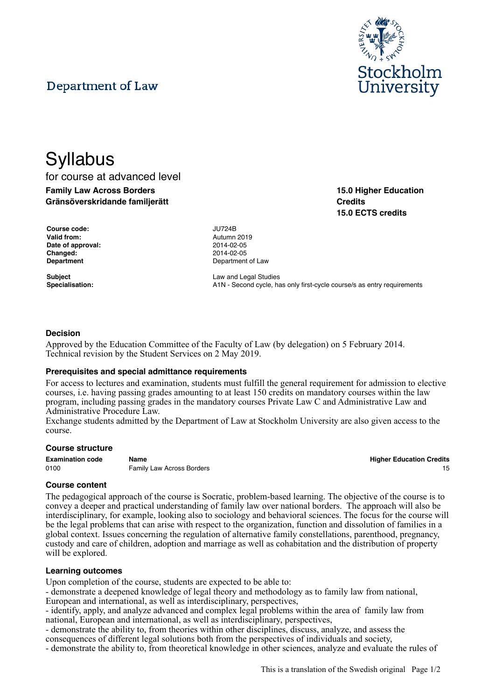# Department of Law



for course at advanced level **Family Law Across Borders Gränsöverskridande familjerätt**

| Course code:      | <b>JU724B</b> |
|-------------------|---------------|
| Valid from:       | Autumn        |
| Date of approval: | 2014-02       |
| Changed:          | 2014-02       |
| <b>Department</b> | Denartn       |

**Valid from:** Autumn 2019 **Date of approval:** 2014-02-05 **Changed:** 2014-02-05 **Department** of Law

**Subject** Law and Legal Studies Specialisation: **A1N** - Second cycle, has only first-cycle course/s as entry requirements

# **Decision**

Approved by the Education Committee of the Faculty of Law (by delegation) on 5 February 2014. Technical revision by the Student Services on 2 May 2019.

#### **Prerequisites and special admittance requirements**

For access to lectures and examination, students must fulfill the general requirement for admission to elective courses, i.e. having passing grades amounting to at least 150 credits on mandatory courses within the law program, including passing grades in the mandatory courses Private Law C and Administrative Law and Administrative Procedure Law.

Exchange students admitted by the Department of Law at Stockholm University are also given access to the course.

#### **Course structure**

| <b>Examination code</b> | Name                             | <b>Higher Education Credits</b> |
|-------------------------|----------------------------------|---------------------------------|
| 0100                    | <b>Family Law Across Borders</b> |                                 |

**Higher Education Credits** 

## **Course content**

The pedagogical approach of the course is Socratic, problem-based learning. The objective of the course is to convey a deeper and practical understanding of family law over national borders. The approach will also be interdisciplinary, for example, looking also to sociology and behavioral sciences. The focus for the course will be the legal problems that can arise with respect to the organization, function and dissolution of families in a global context. Issues concerning the regulation of alternative family constellations, parenthood, pregnancy, custody and care of children, adoption and marriage as well as cohabitation and the distribution of property will be explored.

#### **Learning outcomes**

Upon completion of the course, students are expected to be able to:

- demonstrate a deepened knowledge of legal theory and methodology as to family law from national,

European and international, as well as interdisciplinary, perspectives,

- identify, apply, and analyze advanced and complex legal problems within the area of family law from national, European and international, as well as interdisciplinary, perspectives,

- demonstrate the ability to, from theories within other disciplines, discuss, analyze, and assess the

consequences of different legal solutions both from the perspectives of individuals and society,

- demonstrate the ability to, from theoretical knowledge in other sciences, analyze and evaluate the rules of



**15.0 Higher Education**

**15.0 ECTS credits**

**Credits**